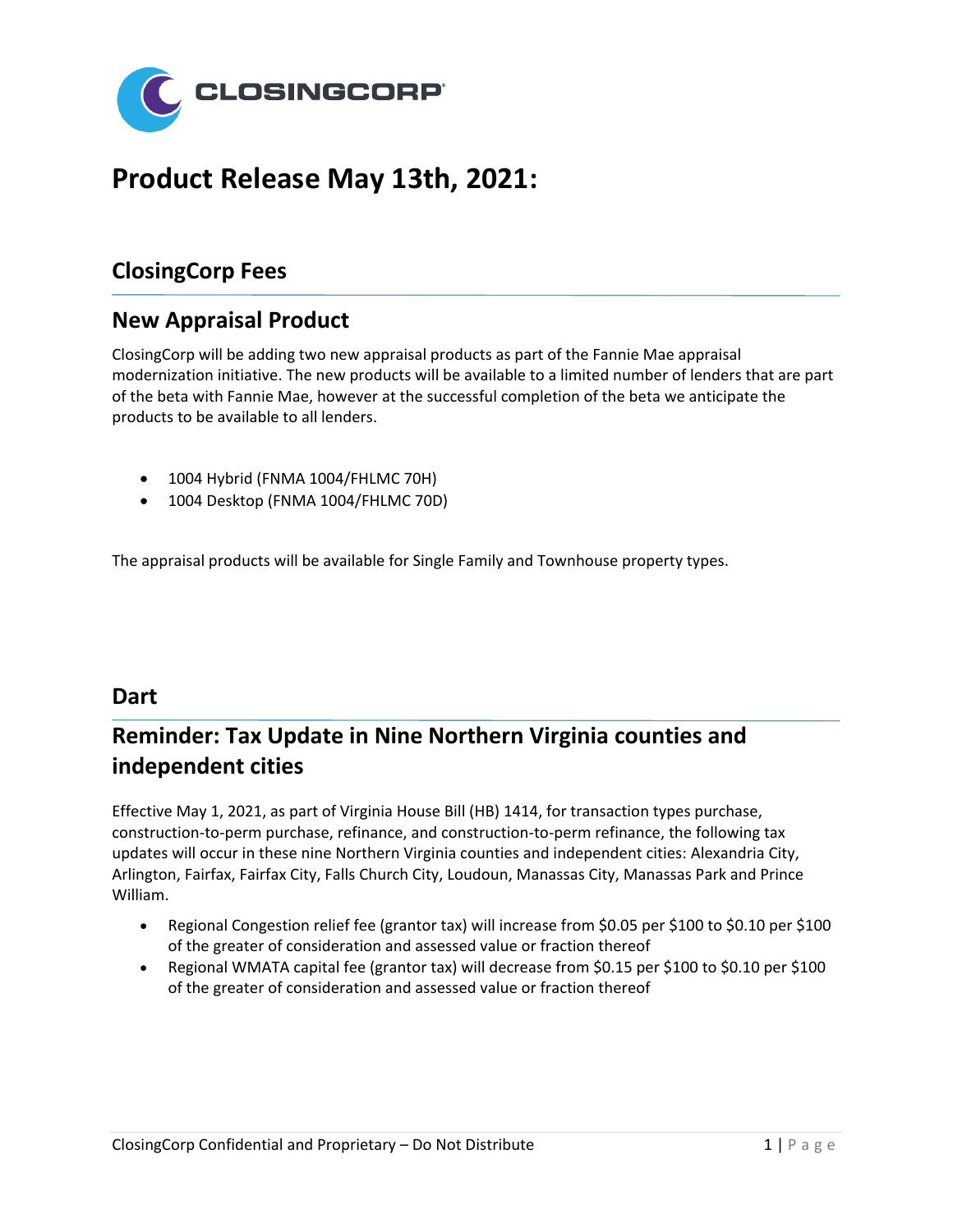

# **Product Release May 13th, 2021:**

### **ClosingCorp Fees**

### **New Appraisal Product**

ClosingCorp will be adding two new appraisal products as part of the Fannie Mae appraisal modernization initiative. The new products will be available to a limited number of lenders that are part of the beta with Fannie Mae, however at the successful completion of the beta we anticipate the products to be available to all lenders.

- 1004 Hybrid (FNMA 1004/FHLMC 70H)
- 1004 Desktop (FNMA 1004/FHLMC 70D)

The appraisal products will be available for Single Family and Townhouse property types.

#### **Dart**

## **Reminder: Tax Update in Nine Northern Virginia counties and independent cities**

Effective May 1, 2021, as part of Virginia House Bill (HB) 1414, for transaction types purchase, construction-to-perm purchase, refinance, and construction-to-perm refinance, the following tax updates will occur in these nine Northern Virginia counties and independent cities: Alexandria City, Arlington, Fairfax, Fairfax City, Falls Church City, Loudoun, Manassas City, Manassas Park and Prince William.

- Regional Congestion relief fee (grantor tax) will increase from \$0.05 per \$100 to \$0.10 per \$100 of the greater of consideration and assessed value or fraction thereof
- Regional WMATA capital fee (grantor tax) will decrease from \$0.15 per \$100 to \$0.10 per \$100 of the greater of consideration and assessed value or fraction thereof